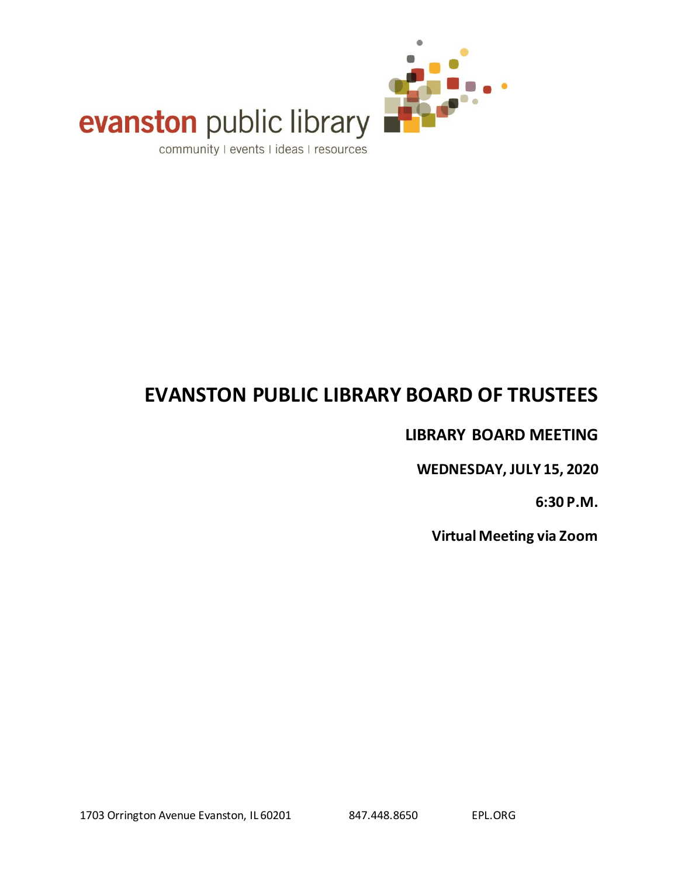

# evanston public library

community I events I ideas I resources

## **EVANSTON PUBLIC LIBRARY BOARD OF TRUSTEES**

### **LIBRARY BOARD MEETING**

**WEDNESDAY, JULY 15, 2020**

**6:30 P.M.**

**Virtual Meeting via Zoom**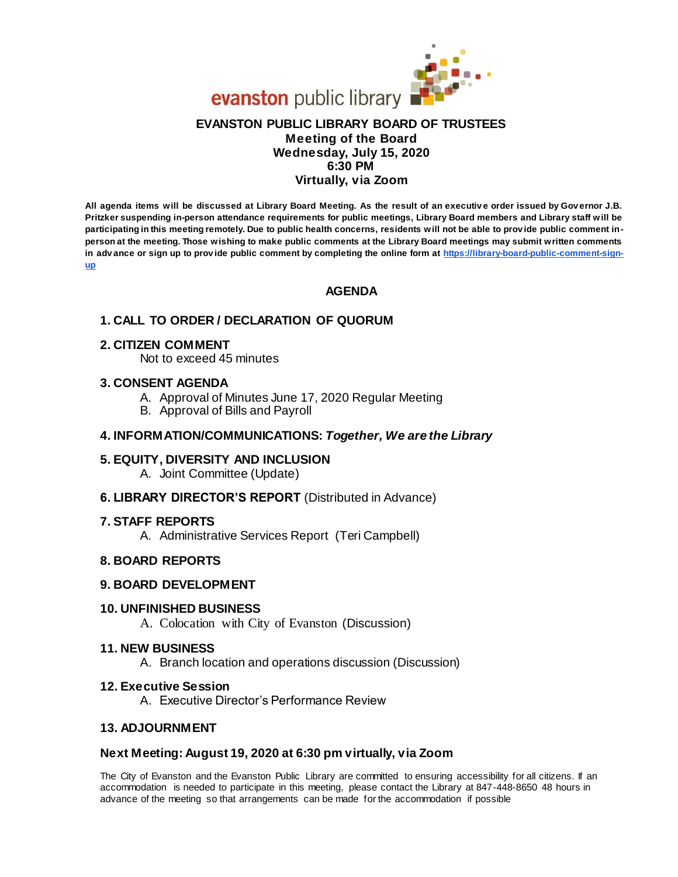

#### **EVANSTON PUBLIC LIBRARY BOARD OF TRUSTEES Meeting of the Board Wednesday, July 15, 2020 6:30 PM Virtually, via Zoom**

All agenda items will be discussed at Library Board Meeting. As the result of an executive order issued by Governor J.B. **Pritzker suspending in-person attendance requirements for public meetings, Library Board members and Library staff will be participating in this meeting remotely. Due to public health concerns, residents will not be able to prov ide public comment inperson at the meeting. Those wishing to make public comments at the Library Board meetings may submit written comments in adv ance or sign up to prov ide public comment by completing the online form a[t](https://forms.gle/b6gzxVu3jrb1U2oF8) [https://library-board-public-comment-sign](https://forms.gle/b6gzxVu3jrb1U2oF8)[up](https://forms.gle/b6gzxVu3jrb1U2oF8)**

#### **AGENDA**

#### **1. CALL TO ORDER / DECLARATION OF QUORUM**

#### **2. CITIZEN COMMENT**

Not to exceed 45 minutes

#### **3. CONSENT AGENDA**

- A. Approval of Minutes June 17, 2020 Regular Meeting
- B. Approval of Bills and Payroll

#### **4. INFORMATION/COMMUNICATIONS:** *Together, We are the Library*

#### **5. EQUITY, DIVERSITY AND INCLUSION**

- A. Joint Committee (Update)
- **6. LIBRARY DIRECTOR'S REPORT** (Distributed in Advance)

#### **7. STAFF REPORTS**

A. Administrative Services Report (Teri Campbell)

#### **8. BOARD REPORTS**

#### **9. BOARD DEVELOPMENT**

#### **10. UNFINISHED BUSINESS**

A. Colocation with City of Evanston (Discussion)

#### **11. NEW BUSINESS**

A. Branch location and operations discussion (Discussion)

#### **12. Executive Session**

A. Executive Director's Performance Review

#### **13. ADJOURNMENT**

#### **Next Meeting: August 19, 2020 at 6:30 pm virtually, via Zoom**

advance of the meeting so that arrangements can be made for the accommodation if possible accommodation is needed to participate in this meeting, please contact the Library at 847-448-8650 48 hours in The City of Evanston and the Evanston Public Library are committed to ensuring accessibility for all citizens. If an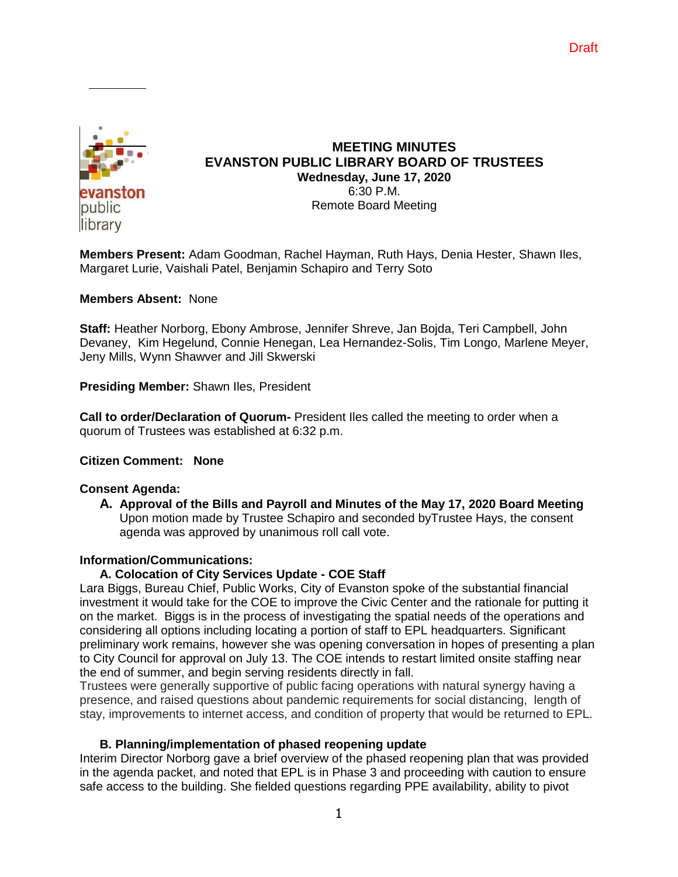

#### **MEETING MINUTES EVANSTON PUBLIC LIBRARY BOARD OF TRUSTEES Wednesday, June 17, 2020** 6:30 P.M. Remote Board Meeting

**Members Present:** Adam Goodman, Rachel Hayman, Ruth Hays, Denia Hester, Shawn Iles, Margaret Lurie, Vaishali Patel, Benjamin Schapiro and Terry Soto

#### **Members Absent:** None

**Staff:** Heather Norborg, Ebony Ambrose, Jennifer Shreve, Jan Bojda, Teri Campbell, John Devaney, Kim Hegelund, Connie Henegan, Lea Hernandez-Solis, Tim Longo, Marlene Meyer, Jeny Mills, Wynn Shawver and Jill Skwerski

**Presiding Member:** Shawn Iles, President

**Call to order/Declaration of Quorum-** President Iles called the meeting to order when a quorum of Trustees was established at 6:32 p.m.

#### **Citizen Comment: None**

#### **Consent Agenda:**

**A. Approval of the Bills and Payroll and Minutes of the May 17, 2020 Board Meeting** Upon motion made by Trustee Schapiro and seconded byTrustee Hays, the consent agenda was approved by unanimous roll call vote.

#### **Information/Communications:**

#### **A. Colocation of City Services Update - COE Staff**

Lara Biggs, Bureau Chief, Public Works, City of Evanston spoke of the substantial financial investment it would take for the COE to improve the Civic Center and the rationale for putting it on the market. Biggs is in the process of investigating the spatial needs of the operations and considering all options including locating a portion of staff to EPL headquarters. Significant preliminary work remains, however she was opening conversation in hopes of presenting a plan to City Council for approval on July 13. The COE intends to restart limited onsite staffing near the end of summer, and begin serving residents directly in fall.

Trustees were generally supportive of public facing operations with natural synergy having a presence, and raised questions about pandemic requirements for social distancing, length of stay, improvements to internet access, and condition of property that would be returned to EPL.

#### **B. Planning/implementation of phased reopening update**

Interim Director Norborg gave a brief overview of the phased reopening plan that was provided in the agenda packet, and noted that EPL is in Phase 3 and proceeding with caution to ensure safe access to the building. She fielded questions regarding PPE availability, ability to pivot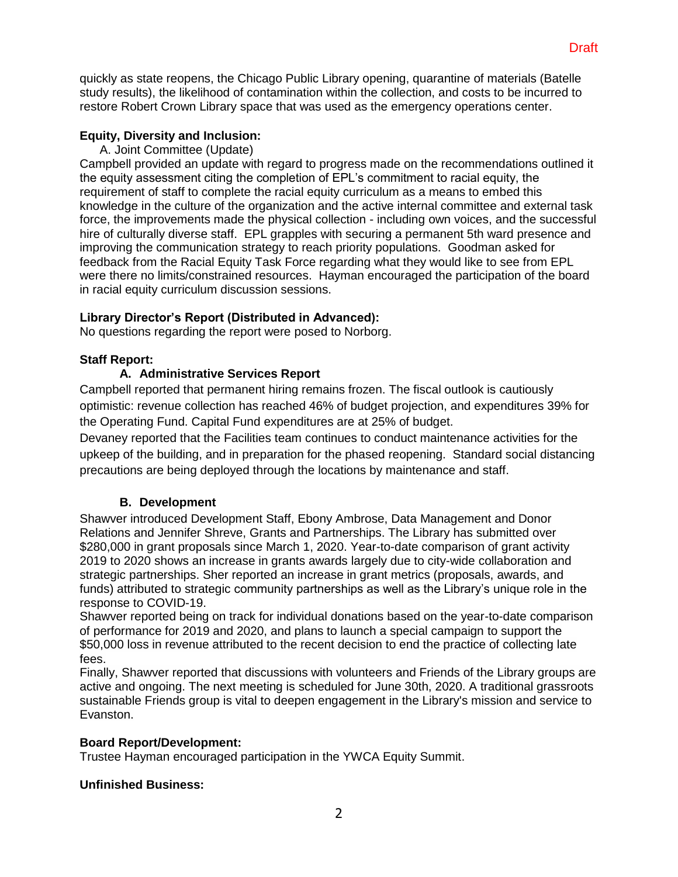quickly as state reopens, the Chicago Public Library opening, quarantine of materials (Batelle study results), the likelihood of contamination within the collection, and costs to be incurred to restore Robert Crown Library space that was used as the emergency operations center.

#### **Equity, Diversity and Inclusion:**

A. Joint Committee (Update)

Campbell provided an update with regard to progress made on the recommendations outlined it the equity assessment citing the completion of EPL's commitment to racial equity, the requirement of staff to complete the racial equity curriculum as a means to embed this knowledge in the culture of the organization and the active internal committee and external task force, the improvements made the physical collection - including own voices, and the successful hire of culturally diverse staff. EPL grapples with securing a permanent 5th ward presence and improving the communication strategy to reach priority populations. Goodman asked for feedback from the Racial Equity Task Force regarding what they would like to see from EPL were there no limits/constrained resources. Hayman encouraged the participation of the board in racial equity curriculum discussion sessions.

#### **Library Director's Report (Distributed in Advanced):**

No questions regarding the report were posed to Norborg.

#### **Staff Report:**

#### **A. Administrative Services Report**

Campbell reported that permanent hiring remains frozen. The fiscal outlook is cautiously optimistic: revenue collection has reached 46% of budget projection, and expenditures 39% for the Operating Fund. Capital Fund expenditures are at 25% of budget.

Devaney reported that the Facilities team continues to conduct maintenance activities for the upkeep of the building, and in preparation for the phased reopening. Standard social distancing precautions are being deployed through the locations by maintenance and staff.

#### **B. Development**

Shawver introduced Development Staff, Ebony Ambrose, Data Management and Donor Relations and Jennifer Shreve, Grants and Partnerships. The Library has submitted over \$280,000 in grant proposals since March 1, 2020. Year-to-date comparison of grant activity 2019 to 2020 shows an increase in grants awards largely due to city-wide collaboration and strategic partnerships. Sher reported an increase in grant metrics (proposals, awards, and funds) attributed to strategic community partnerships as well as the Library's unique role in the response to COVID-19.

Shawver reported being on track for individual donations based on the year-to-date comparison of performance for 2019 and 2020, and plans to launch a special campaign to support the \$50,000 loss in revenue attributed to the recent decision to end the practice of collecting late fees.

Finally, Shawver reported that discussions with volunteers and Friends of the Library groups are active and ongoing. The next meeting is scheduled for June 30th, 2020. A traditional grassroots sustainable Friends group is vital to deepen engagement in the Library's mission and service to Evanston.

#### **Board Report/Development:**

Trustee Hayman encouraged participation in the YWCA Equity Summit.

#### **Unfinished Business:**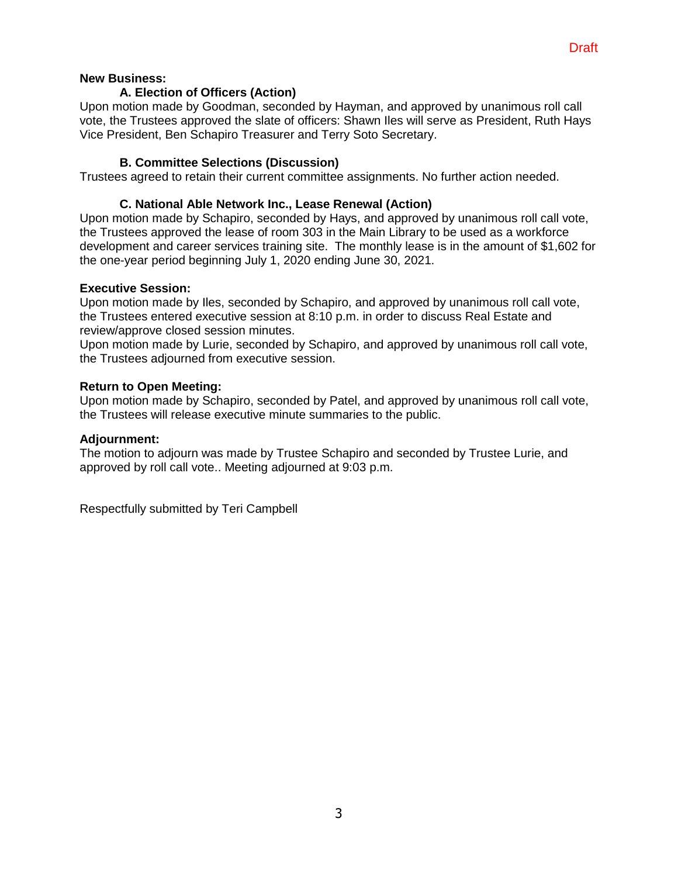#### **New Business:**

#### **A. Election of Officers (Action)**

Upon motion made by Goodman, seconded by Hayman, and approved by unanimous roll call vote, the Trustees approved the slate of officers: Shawn Iles will serve as President, Ruth Hays Vice President, Ben Schapiro Treasurer and Terry Soto Secretary.

#### **B. Committee Selections (Discussion)**

Trustees agreed to retain their current committee assignments. No further action needed.

#### **C. National Able Network Inc., Lease Renewal (Action)**

Upon motion made by Schapiro, seconded by Hays, and approved by unanimous roll call vote, the Trustees approved the lease of room 303 in the Main Library to be used as a workforce development and career services training site. The monthly lease is in the amount of \$1,602 for the one-year period beginning July 1, 2020 ending June 30, 2021.

#### **Executive Session:**

Upon motion made by Iles, seconded by Schapiro, and approved by unanimous roll call vote, the Trustees entered executive session at 8:10 p.m. in order to discuss Real Estate and review/approve closed session minutes.

Upon motion made by Lurie, seconded by Schapiro, and approved by unanimous roll call vote, the Trustees adjourned from executive session.

#### **Return to Open Meeting:**

Upon motion made by Schapiro, seconded by Patel, and approved by unanimous roll call vote, the Trustees will release executive minute summaries to the public.

#### **Adjournment:**

The motion to adjourn was made by Trustee Schapiro and seconded by Trustee Lurie, and approved by roll call vote.. Meeting adjourned at 9:03 p.m.

Respectfully submitted by Teri Campbell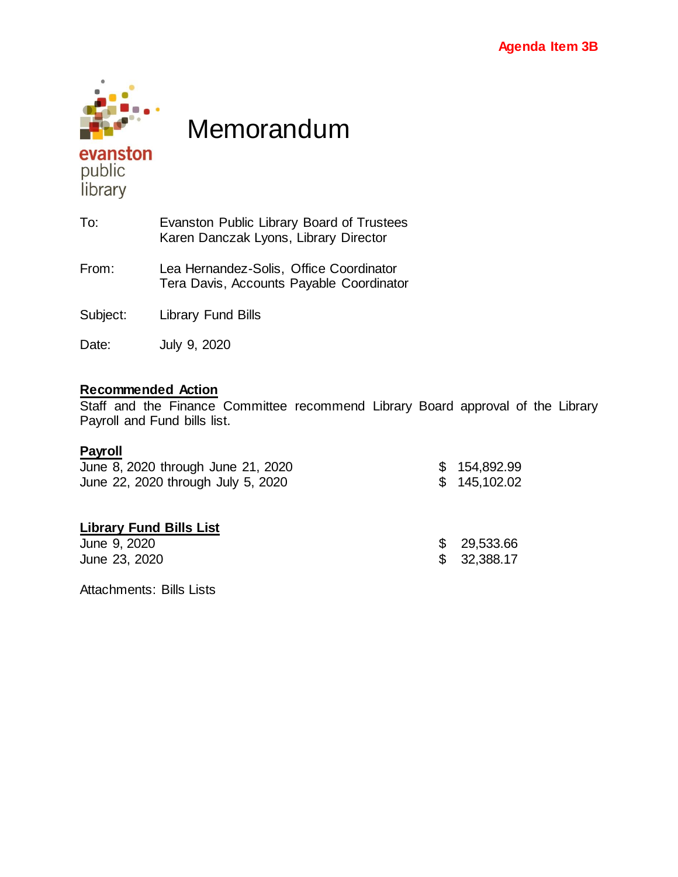

evanston public library

## Memorandum

- To: Evanston Public Library Board of Trustees Karen Danczak Lyons, Library Director
- From: Lea Hernandez-Solis, Office Coordinator Tera Davis, Accounts Payable Coordinator
- Subject: Library Fund Bills
- Date: July 9, 2020

### **Recommended Action**

Staff and the Finance Committee recommend Library Board approval of the Library Payroll and Fund bills list.

#### **Payroll**

| June 8, 2020 through June 21, 2020 | \$ 154,892.99 |
|------------------------------------|---------------|
| June 22, 2020 through July 5, 2020 | \$145,102.02  |
|                                    |               |
| <b>Library Fund Bills List</b>     |               |
|                                    |               |
| June 9, 2020                       | \$29,533.66   |

June 23, 2020 **\$** 32,388.17

Attachments: Bills Lists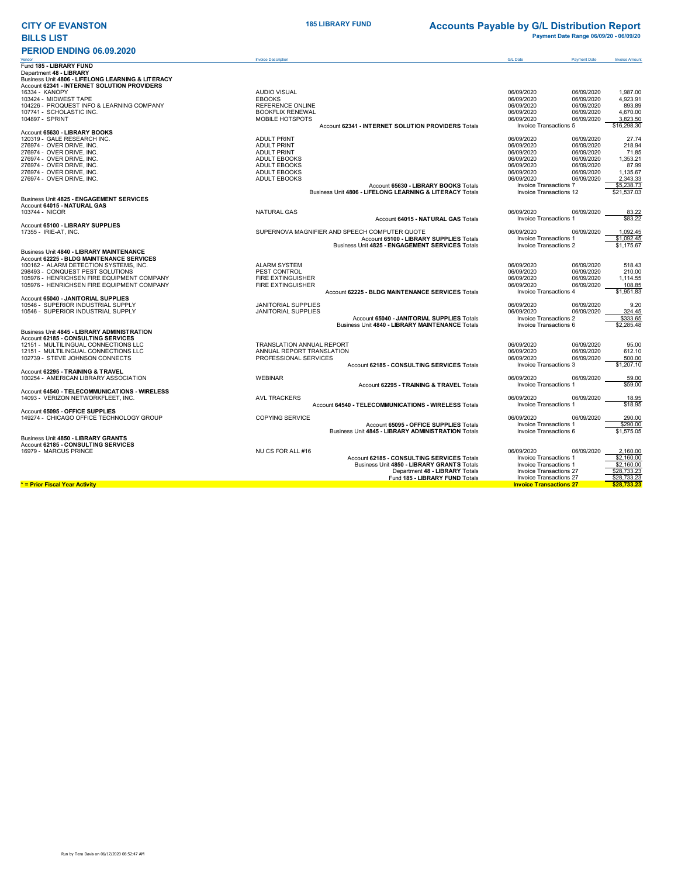#### **CITY OF EVANSTON BILLS LIST PERIOD ENDING 06.09.2020**

## **Accounts Payable by G/L Distribution Report Payment Date Range 06/09/20 - 06/09/20**

| טאט.געטיסט פאווחום שט                             |                                                          |                                |                     |                        |
|---------------------------------------------------|----------------------------------------------------------|--------------------------------|---------------------|------------------------|
| Vendor                                            | <b>Invoice Description</b>                               | <b>G/L Date</b>                | <b>Payment Date</b> | <b>Invoice Amount</b>  |
| Fund 185 - LIBRARY FUND                           |                                                          |                                |                     |                        |
| Department 48 - LIBRARY                           |                                                          |                                |                     |                        |
| Business Unit 4806 - LIFELONG LEARNING & LITERACY |                                                          |                                |                     |                        |
| Account 62341 - INTERNET SOLUTION PROVIDERS       |                                                          |                                |                     |                        |
| 16334 - KANOPY                                    | <b>AUDIO VISUAL</b>                                      | 06/09/2020                     | 06/09/2020          | 1,987.00               |
|                                                   |                                                          |                                |                     |                        |
| 103424 - MIDWEST TAPE                             | <b>EBOOKS</b>                                            | 06/09/2020                     | 06/09/2020          | 4.923.91               |
| 104226 - PROQUEST INFO & LEARNING COMPANY         | REFERENCE ONLINE                                         | 06/09/2020                     | 06/09/2020          | 893.89                 |
| 107741 - SCHOLASTIC INC.                          | <b>BOOKFLIX RENEWAL</b>                                  | 06/09/2020                     | 06/09/2020          | 4,670.00               |
| 104897 - SPRINT                                   | MOBILE HOTSPOTS                                          | 06/09/2020                     | 06/09/2020          | 3,823.50               |
|                                                   | Account 62341 - INTERNET SOLUTION PROVIDERS Totals       | Invoice Transactions 5         |                     | \$16,298.30            |
| Account 65630 - LIBRARY BOOKS                     |                                                          |                                |                     |                        |
| 120319 - GALE RESEARCH INC.                       | <b>ADULT PRINT</b>                                       | 06/09/2020                     | 06/09/2020          | 27.74                  |
| 276974 - OVER DRIVE, INC.                         | <b>ADULT PRINT</b>                                       | 06/09/2020                     | 06/09/2020          | 218.94                 |
| 276974 - OVER DRIVE, INC.                         | <b>ADULT PRINT</b>                                       | 06/09/2020                     | 06/09/2020          | 71.85                  |
| 276974 - OVER DRIVE, INC.                         | <b>ADULT EBOOKS</b>                                      | 06/09/2020                     | 06/09/2020          | 1,353.21               |
|                                                   |                                                          |                                |                     |                        |
| 276974 - OVER DRIVE, INC.                         | <b>ADULT EBOOKS</b>                                      | 06/09/2020                     | 06/09/2020          | 87.99                  |
| 276974 - OVER DRIVE, INC.                         | <b>ADULT EBOOKS</b>                                      | 06/09/2020                     | 06/09/2020          | 1,135.67               |
| 276974 - OVER DRIVE, INC.                         | <b>ADULT EBOOKS</b>                                      | 06/09/2020                     | 06/09/2020          | 2,343.33               |
|                                                   | Account 65630 - LIBRARY BOOKS Totals                     | <b>Invoice Transactions 7</b>  |                     | \$5,238.73             |
|                                                   | Business Unit 4806 - LIFELONG LEARNING & LITERACY Totals | Invoice Transactions 12        |                     | \$21,537.03            |
| Business Unit 4825 - ENGAGEMENT SERVICES          |                                                          |                                |                     |                        |
| Account 64015 - NATURAL GAS                       |                                                          |                                |                     |                        |
| 103744 - NICOR                                    | <b>NATURAL GAS</b>                                       | 06/09/2020                     | 06/09/2020          | 83.22                  |
|                                                   | Account 64015 - NATURAL GAS Totals                       | Invoice Transactions 1         |                     | \$83.22                |
|                                                   |                                                          |                                |                     |                        |
| Account 65100 - LIBRARY SUPPLIES                  |                                                          |                                |                     |                        |
| 17355 - IRIE-AT, INC.                             | SUPERNOVA MAGNIFIER AND SPEECH COMPUTER QUOTE            | 06/09/2020                     | 06/09/2020          | 1,092.45               |
|                                                   | Account 65100 - LIBRARY SUPPLIES Totals                  | <b>Invoice Transactions 1</b>  |                     | \$1,092.45             |
|                                                   | Business Unit 4825 - ENGAGEMENT SERVICES Totals          | <b>Invoice Transactions 2</b>  |                     | \$1,175.67             |
| Business Unit 4840 - LIBRARY MAINTENANCE          |                                                          |                                |                     |                        |
| Account 62225 - BLDG MAINTENANCE SERVICES         |                                                          |                                |                     |                        |
| 100162 - ALARM DETECTION SYSTEMS, INC.            | <b>ALARM SYSTEM</b>                                      | 06/09/2020                     | 06/09/2020          | 518.43                 |
| 298493 - CONQUEST PEST SOLUTIONS                  | PEST CONTROL                                             | 06/09/2020                     | 06/09/2020          | 210.00                 |
| 105976 - HENRICHSEN FIRE EQUIPMENT COMPANY        | <b>FIRE EXTINGUISHER</b>                                 | 06/09/2020                     | 06/09/2020          | 1,114.55               |
| 105976 - HENRICHSEN FIRE EQUIPMENT COMPANY        | <b>FIRE EXTINGUISHER</b>                                 | 06/09/2020                     | 06/09/2020          | 108.85                 |
|                                                   |                                                          |                                |                     |                        |
|                                                   | Account 62225 - BLDG MAINTENANCE SERVICES Totals         | <b>Invoice Transactions 4</b>  |                     | \$1,951.83             |
| Account 65040 - JANITORIAL SUPPLIES               |                                                          |                                |                     |                        |
| 10546 - SUPERIOR INDUSTRIAL SUPPLY                | <b>JANITORIAL SUPPLIES</b>                               | 06/09/2020                     | 06/09/2020          | 9.20                   |
| 10546 - SUPERIOR INDUSTRIAL SUPPLY                | <b>JANITORIAL SUPPLIES</b>                               | 06/09/2020                     | 06/09/2020          | 324.45                 |
|                                                   | Account 65040 - JANITORIAL SUPPLIES Totals               | Invoice Transactions 2         |                     | \$333.65               |
|                                                   | Business Unit 4840 - LIBRARY MAINTENANCE Totals          | Invoice Transactions 6         |                     | $$2,285.\overline{48}$ |
| Business Unit 4845 - LIBRARY ADMINISTRATION       |                                                          |                                |                     |                        |
| Account 62185 - CONSULTING SERVICES               |                                                          |                                |                     |                        |
| 12151 - MULTILINGUAL CONNECTIONS LLC              | <b>TRANSLATION ANNUAL REPORT</b>                         | 06/09/2020                     | 06/09/2020          | 95.00                  |
|                                                   |                                                          | 06/09/2020                     |                     |                        |
| 12151 - MULTILINGUAL CONNECTIONS LLC              | ANNUAL REPORT TRANSLATION                                |                                | 06/09/2020          | 612.10                 |
| 102739 - STEVE JOHNSON CONNECTS                   | PROFESSIONAL SERVICES                                    | 06/09/2020                     | 06/09/2020          | 500.00                 |
|                                                   | Account 62185 - CONSULTING SERVICES Totals               | <b>Invoice Transactions 3</b>  |                     | \$1,207.10             |
| Account 62295 - TRAINING & TRAVEL                 |                                                          |                                |                     |                        |
| 100254 - AMERICAN LIBRARY ASSOCIATION             | <b>WEBINAR</b>                                           | 06/09/2020                     | 06/09/2020          | 59.00                  |
|                                                   | Account 62295 - TRAINING & TRAVEL Totals                 | <b>Invoice Transactions 1</b>  |                     | \$59.00                |
| Account 64540 - TELECOMMUNICATIONS - WIRELESS     |                                                          |                                |                     |                        |
| 14093 - VERIZON NETWORKFLEET, INC.                | <b>AVL TRACKERS</b>                                      | 06/09/2020                     | 06/09/2020          | 18.95                  |
|                                                   | Account 64540 - TELECOMMUNICATIONS - WIRELESS Totals     | <b>Invoice Transactions 1</b>  |                     | \$18.95                |
| Account 65095 - OFFICE SUPPLIES                   |                                                          |                                |                     |                        |
|                                                   |                                                          |                                |                     |                        |
| 149274 - CHICAGO OFFICE TECHNOLOGY GROUP          | <b>COPYING SERVICE</b>                                   | 06/09/2020                     | 06/09/2020          | 290.00                 |
|                                                   | Account 65095 - OFFICE SUPPLIES Totals                   | <b>Invoice Transactions 1</b>  |                     | \$290.00               |
|                                                   | Business Unit 4845 - LIBRARY ADMINISTRATION Totals       | Invoice Transactions 6         |                     | \$1,575.05             |
| Business Unit 4850 - LIBRARY GRANTS               |                                                          |                                |                     |                        |
| Account 62185 - CONSULTING SERVICES               |                                                          |                                |                     |                        |
| 16979 - MARCUS PRINCE                             | NU CS FOR ALL #16                                        | 06/09/2020                     | 06/09/2020          | 2,160.00               |
|                                                   | Account 62185 - CONSULTING SERVICES Totals               | <b>Invoice Transactions 1</b>  |                     | \$2,160.00             |
|                                                   | Business Unit 4850 - LIBRARY GRANTS Totals               | <b>Invoice Transactions 1</b>  |                     | \$2,160.00             |
|                                                   |                                                          |                                |                     |                        |
|                                                   | Department 48 - LIBRARY Totals                           | <b>Invoice Transactions 27</b> |                     | \$28,733.23            |
|                                                   | Fund 185 - LIBRARY FUND Totals                           | Invoice Transactions 27        |                     | \$28,733,23            |
| <u>* = Prior Fiscal Year Activity</u>             |                                                          | <b>Invoice Transactions 27</b> |                     | \$28,733.23            |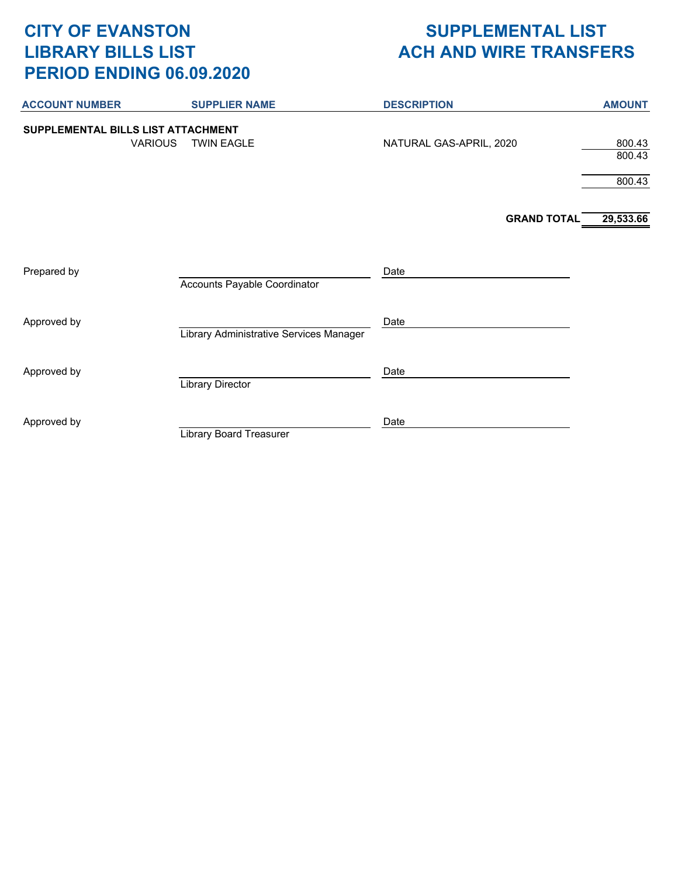## **CITY OF EVANSTON LIBRARY BILLS LIST PERIOD ENDING 06.09.2020**

## **SUPPLEMENTAL LIST ACH AND WIRE TRANSFERS**

| <b>ACCOUNT NUMBER</b>              | <b>SUPPLIER NAME</b>                    | <b>DESCRIPTION</b>      | <b>AMOUNT</b> |  |  |  |  |  |  |
|------------------------------------|-----------------------------------------|-------------------------|---------------|--|--|--|--|--|--|
| SUPPLEMENTAL BILLS LIST ATTACHMENT |                                         |                         |               |  |  |  |  |  |  |
| <b>VARIOUS</b>                     | <b>TWIN EAGLE</b>                       | NATURAL GAS-APRIL, 2020 | 800.43        |  |  |  |  |  |  |
|                                    |                                         |                         | 800.43        |  |  |  |  |  |  |
|                                    |                                         |                         | 800.43        |  |  |  |  |  |  |
|                                    |                                         | <b>GRAND TOTAL</b>      | 29,533.66     |  |  |  |  |  |  |
| Prepared by                        | Accounts Payable Coordinator            | Date                    |               |  |  |  |  |  |  |
| Approved by                        | Library Administrative Services Manager | Date                    |               |  |  |  |  |  |  |
| Approved by                        | <b>Library Director</b>                 | Date                    |               |  |  |  |  |  |  |
| Approved by                        | Library Board Treasurer                 | Date                    |               |  |  |  |  |  |  |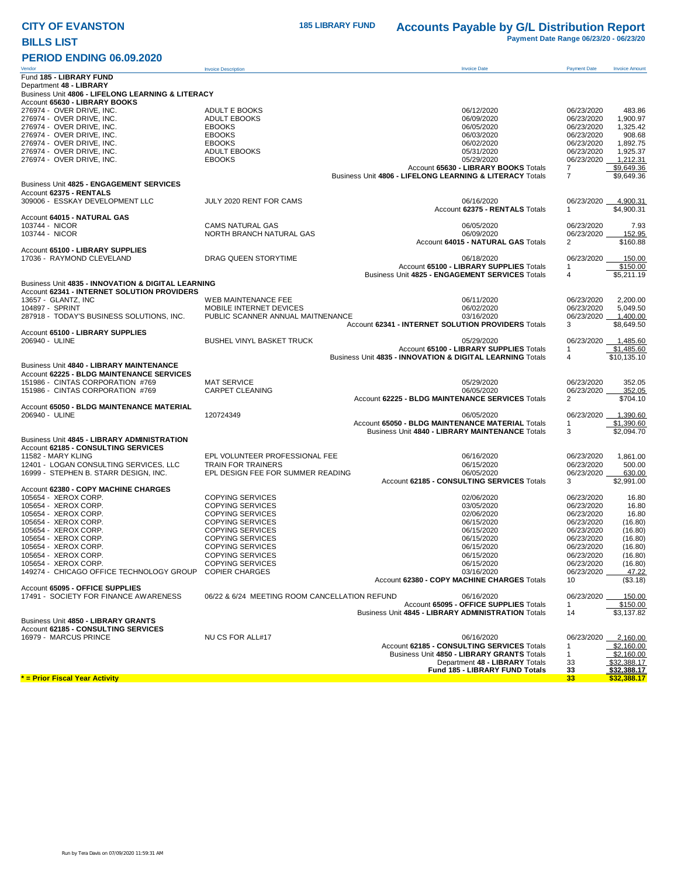#### **CITY OF EVANSTON**

#### **BILLS LIST PERIOD ENDING 06.09.2020**

| <b>185 LIBRARY FUND</b> | <b>Accounts Payable by G/L Distribution Report</b> |  |
|-------------------------|----------------------------------------------------|--|
|                         |                                                    |  |

| <b>FENIUD ENDING 00.03.ZUZU</b>                    |                                               |                                                           |                     |                       |
|----------------------------------------------------|-----------------------------------------------|-----------------------------------------------------------|---------------------|-----------------------|
| Vendor                                             | <b>Invoice Description</b>                    | <b>Invoice Date</b>                                       | <b>Payment Date</b> | <b>Invoice Amount</b> |
| Fund 185 - LIBRARY FUND                            |                                               |                                                           |                     |                       |
|                                                    |                                               |                                                           |                     |                       |
| Department 48 - LIBRARY                            |                                               |                                                           |                     |                       |
| Business Unit 4806 - LIFELONG LEARNING & LITERACY  |                                               |                                                           |                     |                       |
| Account 65630 - LIBRARY BOOKS                      |                                               |                                                           |                     |                       |
| 276974 - OVER DRIVE, INC.                          | ADULT E BOOKS                                 | 06/12/2020                                                | 06/23/2020          | 483.86                |
| 276974 - OVER DRIVE, INC.                          | <b>ADULT EBOOKS</b>                           | 06/09/2020                                                | 06/23/2020          | 1,900.97              |
| 276974 - OVER DRIVE, INC.                          | <b>EBOOKS</b>                                 | 06/05/2020                                                | 06/23/2020          | 1,325.42              |
|                                                    |                                               |                                                           |                     |                       |
| 276974 - OVER DRIVE, INC.                          | <b>EBOOKS</b>                                 | 06/03/2020                                                | 06/23/2020          | 908.68                |
| 276974 - OVER DRIVE, INC.                          | <b>EBOOKS</b>                                 | 06/02/2020                                                | 06/23/2020          | 1,892.75              |
| 276974 - OVER DRIVE, INC.                          | <b>ADULT EBOOKS</b>                           | 05/31/2020                                                | 06/23/2020          | 1,925.37              |
| 276974 - OVER DRIVE, INC.                          | <b>EBOOKS</b>                                 | 05/29/2020                                                | 06/23/2020          | 1,212.31              |
|                                                    |                                               | Account 65630 - LIBRARY BOOKS Totals                      | 7                   | \$9,649.36            |
|                                                    |                                               |                                                           |                     |                       |
|                                                    |                                               | Business Unit 4806 - LIFELONG LEARNING & LITERACY Totals  | 7                   | \$9,649.36            |
| Business Unit 4825 - ENGAGEMENT SERVICES           |                                               |                                                           |                     |                       |
| Account 62375 - RENTALS                            |                                               |                                                           |                     |                       |
| 309006 - ESSKAY DEVELOPMENT LLC                    | JULY 2020 RENT FOR CAMS                       | 06/16/2020                                                | 06/23/2020          | 4,900.31              |
|                                                    |                                               | Account 62375 - RENTALS Totals                            | $\mathbf{1}$        | \$4,900.31            |
|                                                    |                                               |                                                           |                     |                       |
| Account 64015 - NATURAL GAS                        |                                               |                                                           |                     |                       |
| 103744 - NICOR                                     | <b>CAMS NATURAL GAS</b>                       | 06/05/2020                                                | 06/23/2020          | 7.93                  |
| 103744 - NICOR                                     | NORTH BRANCH NATURAL GAS                      | 06/09/2020                                                | 06/23/2020          | 152.95                |
|                                                    |                                               | Account 64015 - NATURAL GAS Totals                        | 2                   | \$160.88              |
| Account 65100 - LIBRARY SUPPLIES                   |                                               |                                                           |                     |                       |
|                                                    |                                               |                                                           |                     |                       |
| 17036 - RAYMOND CLEVELAND                          | DRAG QUEEN STORYTIME                          | 06/18/2020                                                | 06/23/2020          | 150.00                |
|                                                    |                                               | Account 65100 - LIBRARY SUPPLIES Totals                   | 1                   | \$150.00              |
|                                                    |                                               | Business Unit 4825 - ENGAGEMENT SERVICES Totals           | 4                   | \$5,211.19            |
| Business Unit 4835 - INNOVATION & DIGITAL LEARNING |                                               |                                                           |                     |                       |
| Account 62341 - INTERNET SOLUTION PROVIDERS        |                                               |                                                           |                     |                       |
|                                                    |                                               |                                                           |                     |                       |
| 13657 - GLANTZ. INC                                | WEB MAINTENANCE FEE                           | 06/11/2020                                                | 06/23/2020          | 2,200.00              |
| 104897 - SPRINT                                    | MOBILE INTERNET DEVICES                       | 06/02/2020                                                | 06/23/2020          | 5,049.50              |
| 287918 - TODAY'S BUSINESS SOLUTIONS, INC.          | PUBLIC SCANNER ANNUAL MAITNENANCE             | 03/16/2020                                                | 06/23/2020          | 1,400.00              |
|                                                    |                                               | Account 62341 - INTERNET SOLUTION PROVIDERS Totals        | 3                   | \$8,649.50            |
| Account 65100 - LIBRARY SUPPLIES                   |                                               |                                                           |                     |                       |
|                                                    |                                               |                                                           |                     |                       |
| 206940 - ULINE                                     | <b>BUSHEL VINYL BASKET TRUCK</b>              | 05/29/2020                                                | 06/23/2020          | 1.485.60              |
|                                                    |                                               | Account 65100 - LIBRARY SUPPLIES Totals                   | 1                   | \$1,485.60            |
|                                                    |                                               | Business Unit 4835 - INNOVATION & DIGITAL LEARNING Totals | 4                   | \$10,135.10           |
| Business Unit 4840 - LIBRARY MAINTENANCE           |                                               |                                                           |                     |                       |
| Account 62225 - BLDG MAINTENANCE SERVICES          |                                               |                                                           |                     |                       |
|                                                    |                                               |                                                           |                     |                       |
| 151986 - CINTAS CORPORATION #769                   | <b>MAT SERVICE</b>                            | 05/29/2020                                                | 06/23/2020          | 352.05                |
| 151986 - CINTAS CORPORATION #769                   | CARPET CLEANING                               | 06/05/2020                                                | 06/23/2020          | 352.05                |
|                                                    |                                               | Account 62225 - BLDG MAINTENANCE SERVICES Totals          | 2                   | \$704.10              |
| Account 65050 - BLDG MAINTENANCE MATERIAL          |                                               |                                                           |                     |                       |
| 206940 - ULINE                                     | 120724349                                     | 06/05/2020                                                | 06/23/2020          | 1,390.60              |
|                                                    |                                               |                                                           |                     |                       |
|                                                    |                                               | Account 65050 - BLDG MAINTENANCE MATERIAL Totals          | 1                   | \$1,390.60            |
|                                                    |                                               | Business Unit 4840 - LIBRARY MAINTENANCE Totals           | 3                   | \$2,094.70            |
| Business Unit 4845 - LIBRARY ADMINISTRATION        |                                               |                                                           |                     |                       |
| Account 62185 - CONSULTING SERVICES                |                                               |                                                           |                     |                       |
| 11582 - MARY KLING                                 | EPL VOLUNTEER PROFESSIONAL FEE                | 06/16/2020                                                | 06/23/2020          | 1,861.00              |
|                                                    |                                               |                                                           |                     |                       |
| 12401 - LOGAN CONSULTING SERVICES, LLC             | <b>TRAIN FOR TRAINERS</b>                     | 06/15/2020                                                | 06/23/2020          | 500.00                |
| 16999 - STEPHEN B. STARR DESIGN, INC.              | EPL DESIGN FEE FOR SUMMER READING             | 06/05/2020                                                | 06/23/2020          | 630.00                |
|                                                    |                                               | Account 62185 - CONSULTING SERVICES Totals                | 3                   | \$2,991.00            |
| Account 62380 - COPY MACHINE CHARGES               |                                               |                                                           |                     |                       |
| 105654 - XEROX CORP.                               | <b>COPYING SERVICES</b>                       | 02/06/2020                                                | 06/23/2020          | 16.80                 |
| 105654 - XEROX CORP.                               | <b>COPYING SERVICES</b>                       | 03/05/2020                                                | 06/23/2020          | 16.80                 |
|                                                    |                                               |                                                           |                     |                       |
| 105654 - XEROX CORP.                               | <b>COPYING SERVICES</b>                       | 02/06/2020                                                | 06/23/2020          | 16.80                 |
| 105654 - XEROX CORP.                               | <b>COPYING SERVICES</b>                       | 06/15/2020                                                | 06/23/2020          | (16.80)               |
| 105654 - XEROX CORP.                               | <b>COPYING SERVICES</b>                       | 06/15/2020                                                | 06/23/2020          | (16.80)               |
| 105654 - XEROX CORP.                               | <b>COPYING SERVICES</b>                       | 06/15/2020                                                | 06/23/2020          | (16.80)               |
|                                                    |                                               |                                                           |                     |                       |
| 105654 - XEROX CORP.                               | <b>COPYING SERVICES</b>                       | 06/15/2020                                                | 06/23/2020          | (16.80)               |
| 105654 - XEROX CORP.                               | <b>COPYING SERVICES</b>                       | 06/15/2020                                                | 06/23/2020          | (16.80)               |
| 105654 - XEROX CORP.                               | <b>COPYING SERVICES</b>                       | 06/15/2020                                                | 06/23/2020          | (16.80)               |
| 149274 - CHICAGO OFFICE TECHNOLOGY GROUP           | <b>COPIER CHARGES</b>                         | 03/16/2020                                                | 06/23/2020          | 47.22                 |
|                                                    |                                               | Account 62380 - COPY MACHINE CHARGES Totals               | 10                  | (\$3.18)              |
|                                                    |                                               |                                                           |                     |                       |
| Account 65095 - OFFICE SUPPLIES                    |                                               |                                                           |                     |                       |
| 17491 - SOCIETY FOR FINANCE AWARENESS              | 06/22 & 6/24 MEETING ROOM CANCELLATION REFUND | 06/16/2020                                                | 06/23/2020          | 150.00                |
|                                                    |                                               | Account 65095 - OFFICE SUPPLIES Totals                    | $\mathbf 1$         | \$150.00              |
|                                                    |                                               | Business Unit 4845 - LIBRARY ADMINISTRATION Totals        | 14                  | \$3,137.82            |
| Business Unit 4850 - LIBRARY GRANTS                |                                               |                                                           |                     |                       |
|                                                    |                                               |                                                           |                     |                       |
| Account 62185 - CONSULTING SERVICES                |                                               |                                                           |                     |                       |
| 16979 - MARCUS PRINCE                              | NU CS FOR ALL#17                              | 06/16/2020                                                | 06/23/2020          | 2,160.00              |
|                                                    |                                               | Account 62185 - CONSULTING SERVICES Totals                | 1                   | \$2,160.00            |
|                                                    |                                               | Business Unit 4850 - LIBRARY GRANTS Totals                | 1                   | \$2,160.00            |
|                                                    |                                               | Department 48 - LIBRARY Totals                            | 33                  | \$32,388.17           |
|                                                    |                                               |                                                           |                     |                       |
|                                                    |                                               | Fund 185 - LIBRARY FUND Totals                            | 33                  | \$32,388.17           |
| $*$ = Prior Fiscal Year Activity                   |                                               |                                                           | 33 <sub>o</sub>     | \$32,388.17           |

**\* = Prior Fiscal Year Activity 33 \$32,388.17**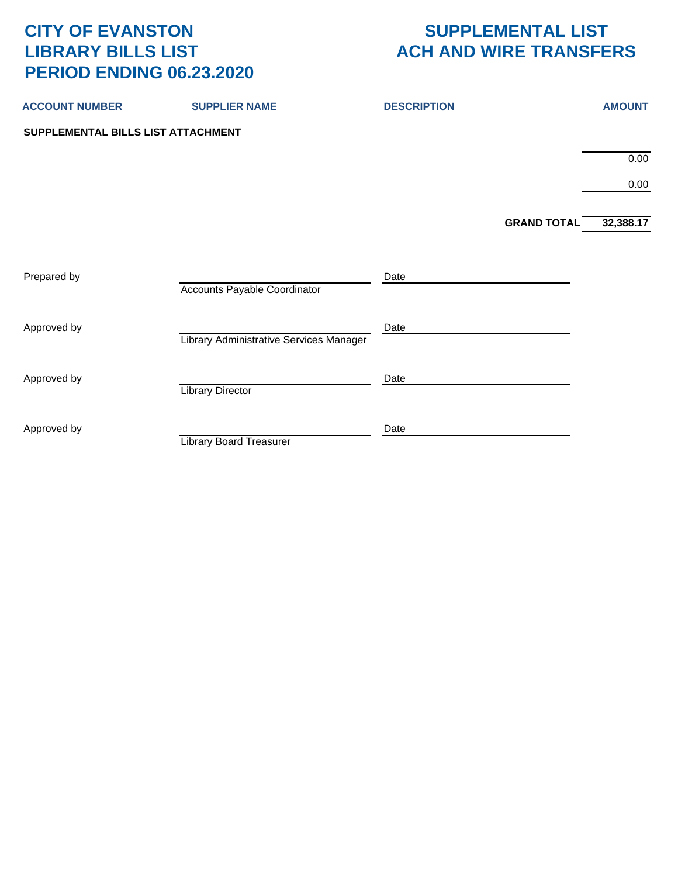## **CITY OF EVANSTON LIBRARY BILLS LIST PERIOD ENDING 06.23.2020**

## **SUPPLEMENTAL LIST ACH AND WIRE TRANSFERS**

| <b>ACCOUNT NUMBER</b>              | <b>SUPPLIER NAME</b>                    | <b>DESCRIPTION</b> |                    | <b>AMOUNT</b> |  |  |  |  |
|------------------------------------|-----------------------------------------|--------------------|--------------------|---------------|--|--|--|--|
| SUPPLEMENTAL BILLS LIST ATTACHMENT |                                         |                    |                    |               |  |  |  |  |
|                                    |                                         |                    |                    | 0.00          |  |  |  |  |
|                                    |                                         |                    |                    | 0.00          |  |  |  |  |
|                                    |                                         |                    | <b>GRAND TOTAL</b> | 32,388.17     |  |  |  |  |
| Prepared by                        | Accounts Payable Coordinator            | Date               |                    |               |  |  |  |  |
| Approved by                        | Library Administrative Services Manager | Date               |                    |               |  |  |  |  |
| Approved by                        | <b>Library Director</b>                 | Date               |                    |               |  |  |  |  |
| Approved by                        | <b>Library Board Treasurer</b>          | Date               |                    |               |  |  |  |  |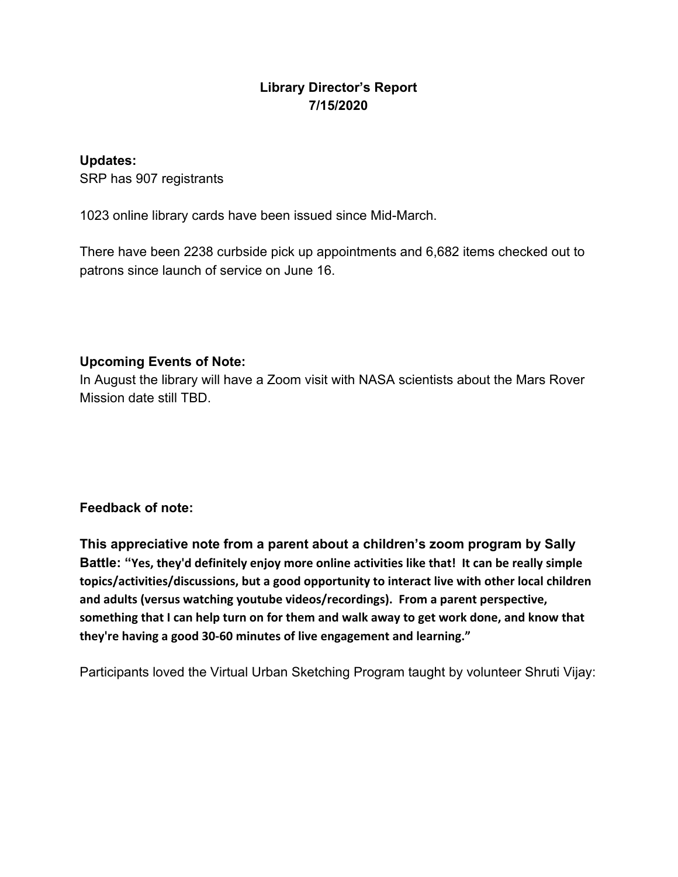### **Library Director's Report 7/15/2020**

#### **Updates:**

SRP has 907 registrants

1023 online library cards have been issued since Mid-March.

There have been 2238 curbside pick up appointments and 6,682 items checked out to patrons since launch of service on June 16.

### **Upcoming Events of Note:**

In August the library will have a Zoom visit with NASA scientists about the Mars Rover Mission date still TBD.

### **Feedback of note:**

**This appreciative note from a parent about a children's zoom program by Sally Battle: "Yes, they'd definitely enjoy more online activities like that! It can be really simple topics/activities/discussions, but a good opportunity to interact live with other local children and adults (versus watching youtube videos/recordings). From a parent perspective, something that I can help turn on for them and walk away to get work done, and know that they're having a good 30-60 minutes of live engagement and learning."**

Participants loved the Virtual Urban Sketching Program taught by volunteer Shruti Vijay: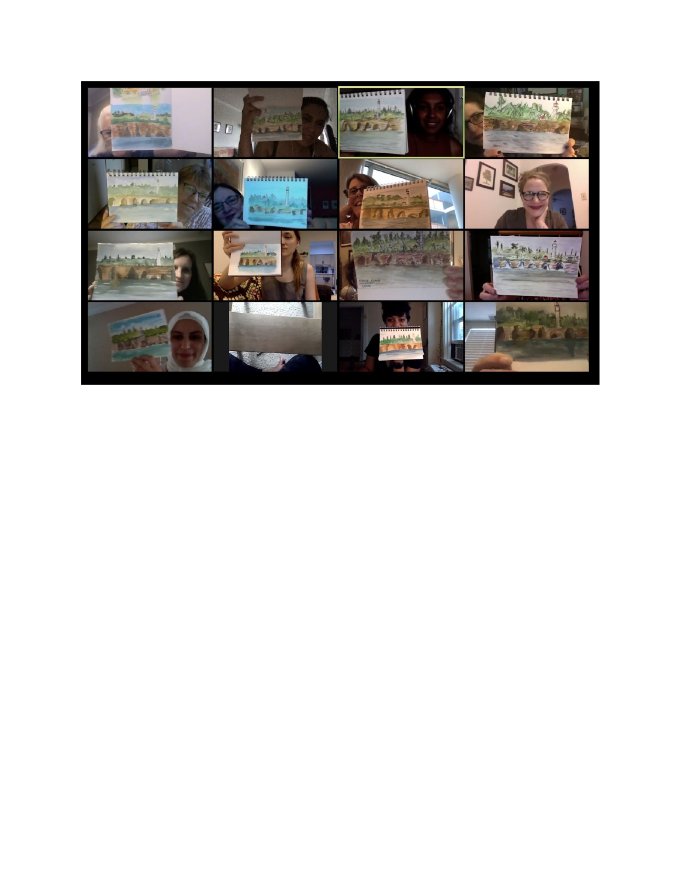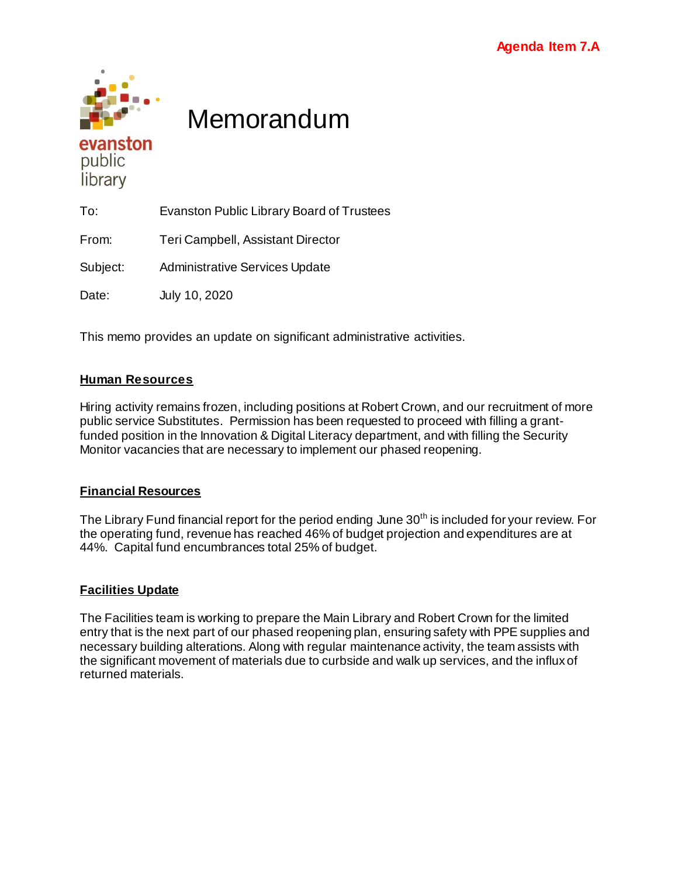

public library Memorandum

| To:      | <b>Evanston Public Library Board of Trustees</b> |
|----------|--------------------------------------------------|
| From:    | Teri Campbell, Assistant Director                |
| Subject: | <b>Administrative Services Update</b>            |
| Date:    | July 10, 2020                                    |
|          |                                                  |

This memo provides an update on significant administrative activities.

#### **Human Resources**

Hiring activity remains frozen, including positions at Robert Crown, and our recruitment of more public service Substitutes. Permission has been requested to proceed with filling a grantfunded position in the Innovation & Digital Literacy department, and with filling the Security Monitor vacancies that are necessary to implement our phased reopening.

#### **Financial Resources**

The Library Fund financial report for the period ending June  $30<sup>th</sup>$  is included for your review. For the operating fund, revenue has reached 46% of budget projection and expenditures are at 44%. Capital fund encumbrances total 25% of budget.

#### **Facilities Update**

The Facilities team is working to prepare the Main Library and Robert Crown for the limited entry that is the next part of our phased reopening plan, ensuring safety with PPE supplies and necessary building alterations. Along with regular maintenance activity, the team assists with the significant movement of materials due to curbside and walk up services, and the influx of returned materials.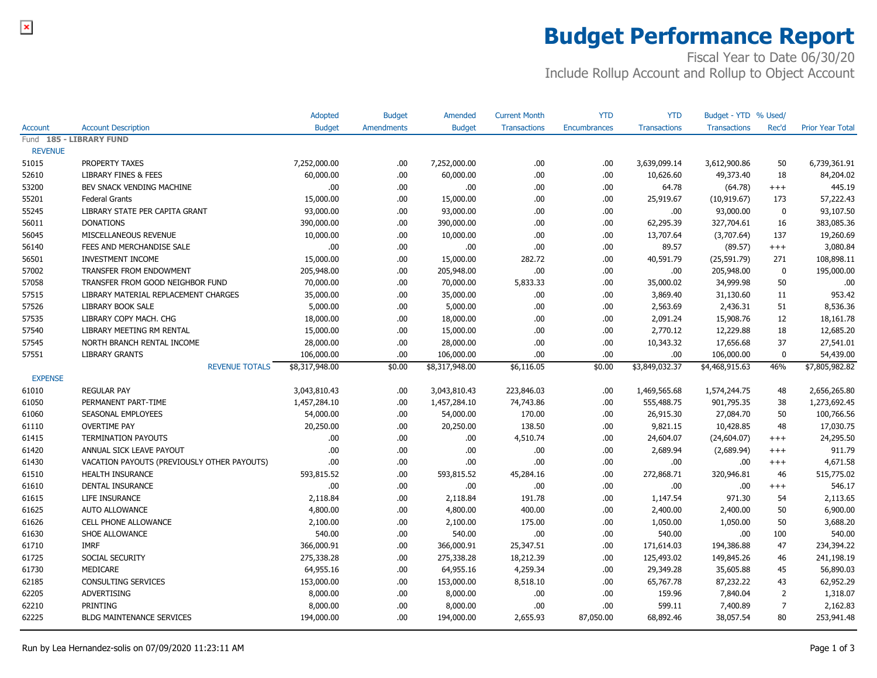## **Budget Performance Report**

Fiscal Year to Date 06/30/20

Include Rollup Account and Rollup to Object Account

|                         |                                             | <b>Adopted</b> | <b>Budget</b>     | Amended        | <b>Current Month</b> | <b>YTD</b>          | <b>YTD</b>          | Budget - YTD % Used/ |                |                         |
|-------------------------|---------------------------------------------|----------------|-------------------|----------------|----------------------|---------------------|---------------------|----------------------|----------------|-------------------------|
| Account                 | <b>Account Description</b>                  | <b>Budget</b>  | <b>Amendments</b> | <b>Budget</b>  | <b>Transactions</b>  | <b>Encumbrances</b> | <b>Transactions</b> | <b>Transactions</b>  | Rec'd          | <b>Prior Year Total</b> |
| Fund 185 - LIBRARY FUND |                                             |                |                   |                |                      |                     |                     |                      |                |                         |
| <b>REVENUE</b>          |                                             |                |                   |                |                      |                     |                     |                      |                |                         |
| 51015                   | PROPERTY TAXES                              | 7,252,000.00   | .00               | 7,252,000.00   | .00.                 | .00                 | 3,639,099.14        | 3,612,900.86         | 50             | 6,739,361.91            |
| 52610                   | <b>LIBRARY FINES &amp; FEES</b>             | 60,000.00      | .00               | 60,000.00      | .00                  | .00                 | 10,626.60           | 49,373.40            | 18             | 84,204.02               |
| 53200                   | BEV SNACK VENDING MACHINE                   | .00            | .00.              | .00.           | .00.                 | .00                 | 64.78               | (64.78)              | $^{+++}$       | 445.19                  |
| 55201                   | <b>Federal Grants</b>                       | 15,000.00      | .00               | 15,000.00      | .00                  | .00                 | 25,919.67           | (10, 919.67)         | 173            | 57,222.43               |
| 55245                   | LIBRARY STATE PER CAPITA GRANT              | 93,000.00      | .00.              | 93,000.00      | .00.                 | .00                 | .00                 | 93,000.00            | 0              | 93,107.50               |
| 56011                   | <b>DONATIONS</b>                            | 390,000.00     | .00.              | 390,000.00     | .00                  | .00                 | 62,295.39           | 327,704.61           | 16             | 383,085.36              |
| 56045                   | MISCELLANEOUS REVENUE                       | 10,000.00      | .00.              | 10,000.00      | .00                  | .00                 | 13,707.64           | (3,707.64)           | 137            | 19,260.69               |
| 56140                   | FEES AND MERCHANDISE SALE                   | .00.           | .00.              | .00            | .00.                 | .00                 | 89.57               | (89.57)              | $^{+++}$       | 3,080.84                |
| 56501                   | <b>INVESTMENT INCOME</b>                    | 15,000.00      | .00.              | 15,000.00      | 282.72               | .00                 | 40,591.79           | (25, 591.79)         | 271            | 108,898.11              |
| 57002                   | TRANSFER FROM ENDOWMENT                     | 205,948.00     | .00.              | 205,948.00     | .00.                 | .00                 | .00                 | 205,948.00           | 0              | 195,000.00              |
| 57058                   | TRANSFER FROM GOOD NEIGHBOR FUND            | 70,000.00      | .00.              | 70,000.00      | 5,833.33             | .00                 | 35,000.02           | 34,999.98            | 50             | .00                     |
| 57515                   | LIBRARY MATERIAL REPLACEMENT CHARGES        | 35,000.00      | .00.              | 35,000.00      | .00.                 | .00                 | 3,869.40            | 31,130.60            | 11             | 953.42                  |
| 57526                   | <b>LIBRARY BOOK SALE</b>                    | 5,000.00       | .00.              | 5,000.00       | .00                  | .00                 | 2,563.69            | 2,436.31             | 51             | 8,536.36                |
| 57535                   | LIBRARY COPY MACH, CHG                      | 18,000.00      | .00.              | 18,000.00      | .00.                 | .00                 | 2,091.24            | 15,908.76            | 12             | 18,161.78               |
| 57540                   | LIBRARY MEETING RM RENTAL                   | 15,000.00      | .00.              | 15,000.00      | .00.                 | .00                 | 2,770.12            | 12,229.88            | 18             | 12,685.20               |
| 57545                   | NORTH BRANCH RENTAL INCOME                  | 28,000.00      | .00               | 28,000.00      | .00                  | .00                 | 10,343.32           | 17,656.68            | 37             | 27,541.01               |
| 57551                   | <b>LIBRARY GRANTS</b>                       | 106,000.00     | .00               | 106,000.00     | .00.                 | .00                 | .00                 | 106,000.00           | $\mathbf{0}$   | 54,439.00               |
|                         | <b>REVENUE TOTALS</b>                       | \$8,317,948.00 | \$0.00            | \$8,317,948.00 | \$6,116.05           | \$0.00              | \$3,849,032.37      | \$4,468,915.63       | 46%            | \$7,805,982.82          |
| <b>EXPENSE</b>          |                                             |                |                   |                |                      |                     |                     |                      |                |                         |
| 61010                   | <b>REGULAR PAY</b>                          | 3,043,810.43   | .00.              | 3,043,810.43   | 223,846.03           | .00                 | 1,469,565.68        | 1,574,244.75         | 48             | 2,656,265.80            |
| 61050                   | PERMANENT PART-TIME                         | 1,457,284.10   | .00               | 1,457,284.10   | 74,743.86            | .00                 | 555,488.75          | 901,795.35           | 38             | 1,273,692.45            |
| 61060                   | SEASONAL EMPLOYEES                          | 54,000.00      | .00.              | 54,000.00      | 170.00               | .00                 | 26,915.30           | 27,084.70            | 50             | 100,766.56              |
| 61110                   | <b>OVERTIME PAY</b>                         | 20,250.00      | .00.              | 20,250.00      | 138.50               | .00                 | 9,821.15            | 10,428.85            | 48             | 17,030.75               |
| 61415                   | <b>TERMINATION PAYOUTS</b>                  | .00.           | .00.              | .00            | 4,510.74             | .00                 | 24,604.07           | (24, 604.07)         | $^{+++}$       | 24,295.50               |
| 61420                   | ANNUAL SICK LEAVE PAYOUT                    | .00            | .00.              | .00            | .00.                 | .00                 | 2,689.94            | (2,689.94)           | $^{+++}$       | 911.79                  |
| 61430                   | VACATION PAYOUTS (PREVIOUSLY OTHER PAYOUTS) | .00            | .00.              | .00            | .00                  | .00                 | .00                 | .00                  | $^{+++}$       | 4,671.58                |
| 61510                   | HEALTH INSURANCE                            | 593,815.52     | .00               | 593,815.52     | 45,284.16            | .00                 | 272,868.71          | 320,946.81           | 46             | 515,775.02              |
| 61610                   | <b>DENTAL INSURANCE</b>                     | .00            | .00               | .00.           | .00.                 | .00.                | .00                 | .00                  | $++++$         | 546.17                  |
| 61615                   | LIFE INSURANCE                              | 2,118.84       | .00.              | 2,118.84       | 191.78               | .00                 | 1,147.54            | 971.30               | 54             | 2,113.65                |
| 61625                   | <b>AUTO ALLOWANCE</b>                       | 4,800.00       | .00.              | 4,800.00       | 400.00               | .00.                | 2,400.00            | 2,400.00             | 50             | 6,900.00                |
| 61626                   | <b>CELL PHONE ALLOWANCE</b>                 | 2,100.00       | .00.              | 2,100.00       | 175.00               | .00                 | 1,050.00            | 1,050.00             | 50             | 3,688.20                |
| 61630                   | <b>SHOE ALLOWANCE</b>                       | 540.00         | .00               | 540.00         | .00.                 | .00                 | 540.00              | .00                  | 100            | 540.00                  |
| 61710                   | <b>IMRF</b>                                 | 366,000.91     | .00.              | 366,000.91     | 25,347.51            | .00                 | 171,614.03          | 194,386.88           | 47             | 234,394.22              |
| 61725                   | SOCIAL SECURITY                             | 275,338.28     | .00.              | 275,338.28     | 18,212.39            | .00                 | 125,493.02          | 149,845.26           | 46             | 241,198.19              |
| 61730                   | MEDICARE                                    | 64,955.16      | .00.              | 64,955.16      | 4,259.34             | .00.                | 29,349.28           | 35,605.88            | 45             | 56,890.03               |
| 62185                   | <b>CONSULTING SERVICES</b>                  | 153,000.00     | .00.              | 153,000.00     | 8,518.10             | .00                 | 65,767.78           | 87,232.22            | 43             | 62,952.29               |
| 62205                   | ADVERTISING                                 | 8,000.00       | .00               | 8,000.00       | .00.                 | .00                 | 159.96              | 7,840.04             | $\overline{2}$ | 1,318.07                |
| 62210                   | PRINTING                                    | 8,000.00       | .00.              | 8,000.00       | .00                  | .00                 | 599.11              | 7,400.89             | $\overline{7}$ | 2,162.83                |
| 62225                   | <b>BLDG MAINTENANCE SERVICES</b>            | 194,000.00     | .00.              | 194,000.00     | 2,655.93             | 87,050.00           | 68,892.46           | 38,057.54            | 80             | 253,941.48              |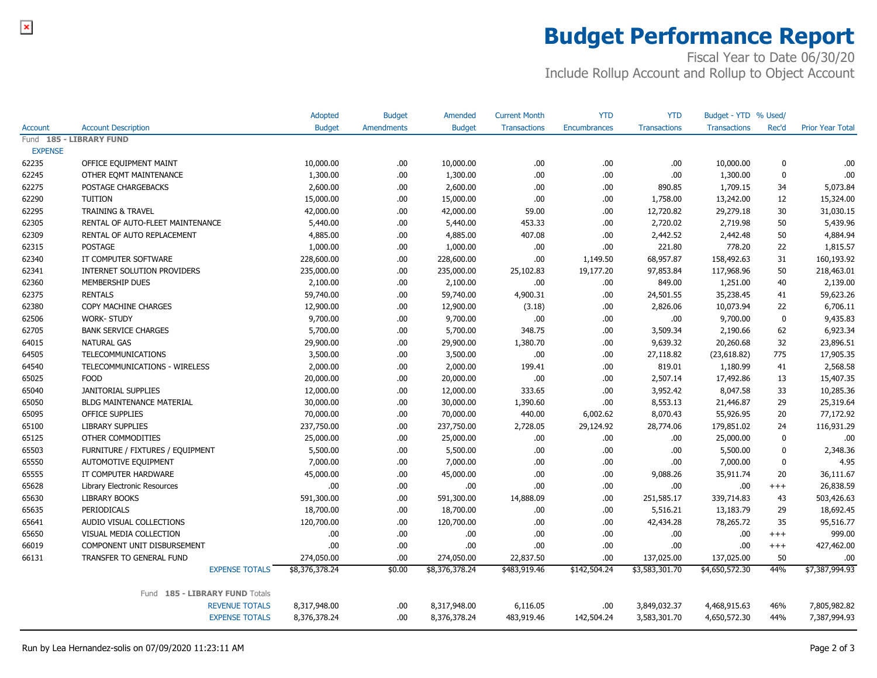## **Budget Performance Report**

Fiscal Year to Date 06/30/20

Include Rollup Account and Rollup to Object Account

| <b>Budget</b><br><b>Budget</b><br>Rec'd<br><b>Account Description</b><br><b>Amendments</b><br><b>Transactions</b><br>Encumbrances<br><b>Transactions</b><br><b>Transactions</b><br><b>Account</b><br>Fund 185 - LIBRARY FUND<br><b>EXPENSE</b> | <b>Prior Year Total</b><br>.00<br>.00 |
|------------------------------------------------------------------------------------------------------------------------------------------------------------------------------------------------------------------------------------------------|---------------------------------------|
|                                                                                                                                                                                                                                                |                                       |
|                                                                                                                                                                                                                                                |                                       |
|                                                                                                                                                                                                                                                |                                       |
| 62235<br>OFFICE EQUIPMENT MAINT<br>10,000.00<br>.00.<br>10,000.00<br>.00.<br>.00<br>.00.<br>10,000.00<br>0                                                                                                                                     |                                       |
| 62245<br>1,300.00<br>.00.<br>1,300.00<br>.00.<br>.00<br>.00.<br>1,300.00<br>OTHER EQMT MAINTENANCE<br>0                                                                                                                                        |                                       |
| 62275<br>2,600.00<br>.00.<br>2,600.00<br>.00.<br>.00<br>890.85<br>1,709.15<br>POSTAGE CHARGEBACKS<br>34                                                                                                                                        | 5,073.84                              |
| 62290<br><b>TUITION</b><br>15,000.00<br>.00.<br>15,000.00<br>.00.<br>.00<br>1,758.00<br>13,242.00<br>12                                                                                                                                        | 15,324.00                             |
| 62295<br><b>TRAINING &amp; TRAVEL</b><br>.00.<br>42,000.00<br>59.00<br>12,720.82<br>29,279.18<br>30<br>42,000.00<br>.00                                                                                                                        | 31,030.15                             |
| 453.33<br>2,720.02<br>50<br>62305<br>RENTAL OF AUTO-FLEET MAINTENANCE<br>5,440.00<br>.00.<br>5,440.00<br>.00<br>2,719.98                                                                                                                       | 5,439.96                              |
| 62309<br>.00.<br>4,885.00<br>407.08<br>2,442.52<br>2,442.48<br>50<br>RENTAL OF AUTO REPLACEMENT<br>4,885.00<br>.00                                                                                                                             | 4,884.94                              |
| 221.80<br>778.20<br>22<br>62315<br><b>POSTAGE</b><br>1,000.00<br>.00.<br>1,000.00<br>.00.<br>.00                                                                                                                                               | 1,815.57                              |
| IT COMPUTER SOFTWARE<br>.00<br>.00.<br>68,957.87<br>158,492.63<br>31<br>62340<br>228,600.00<br>228,600.00<br>1,149.50                                                                                                                          | 160,193.92                            |
| 62341<br>INTERNET SOLUTION PROVIDERS<br>235,000.00<br>.00.<br>235,000.00<br>25,102.83<br>19,177.20<br>97,853.84<br>117,968.96<br>50                                                                                                            | 218,463.01                            |
| .00.<br>849.00<br>62360<br>MEMBERSHIP DUES<br>2,100.00<br>.00.<br>2,100.00<br>.00<br>1,251.00<br>40                                                                                                                                            | 2,139.00                              |
| <b>RENTALS</b><br>4,900.31<br>62375<br>59,740.00<br>.00<br>59,740.00<br>.00<br>24,501.55<br>35,238.45<br>41                                                                                                                                    | 59,623.26                             |
| 62380<br>COPY MACHINE CHARGES<br>12,900.00<br>.00.<br>12,900.00<br>(3.18)<br>.00<br>2,826.06<br>10,073.94<br>22                                                                                                                                | 6,706.11                              |
| .00.<br>62506<br><b>WORK- STUDY</b><br>9,700.00<br>.00.<br>9,700.00<br>.00<br>.00.<br>9,700.00<br>$\mathbf 0$                                                                                                                                  | 9,435.83                              |
| 62705<br>348.75<br>2,190.66<br>62<br><b>BANK SERVICE CHARGES</b><br>5,700.00<br>.00<br>5,700.00<br>.00<br>3,509.34                                                                                                                             | 6,923.34                              |
| .00.<br>1,380.70<br>9,639.32<br>20,260.68<br>32<br>64015<br><b>NATURAL GAS</b><br>29,900.00<br>29,900.00<br>.00                                                                                                                                | 23,896.51                             |
| .00.<br>775<br>64505<br>TELECOMMUNICATIONS<br>3,500.00<br>.00.<br>3,500.00<br>.00<br>27,118.82<br>(23, 618.82)                                                                                                                                 | 17,905.35                             |
| TELECOMMUNICATIONS - WIRELESS<br>199.41<br>819.01<br>64540<br>2,000.00<br>.00.<br>2,000.00<br>.00<br>1,180.99<br>41                                                                                                                            | 2,568.58                              |
| <b>FOOD</b><br>.00.<br>65025<br>20,000.00<br>.00.<br>20,000.00<br>.00<br>2,507.14<br>17,492.86<br>13                                                                                                                                           | 15,407.35                             |
| 33<br>65040<br><b>JANITORIAL SUPPLIES</b><br>12,000.00<br>.00.<br>12,000.00<br>333.65<br>.00<br>3,952.42<br>8,047.58                                                                                                                           | 10,285.36                             |
| 65050<br>BLDG MAINTENANCE MATERIAL<br>30,000.00<br>.00.<br>30,000.00<br>1,390.60<br>.00<br>8,553.13<br>21,446.87<br>29                                                                                                                         | 25,319.64                             |
| 440.00<br>8,070.43<br>20<br>65095<br>OFFICE SUPPLIES<br>70,000.00<br>.00<br>70,000.00<br>6,002.62<br>55,926.95                                                                                                                                 | 77,172.92                             |
| 237,750.00<br>.00.<br>2,728.05<br>29,124.92<br>28,774.06<br>65100<br>LIBRARY SUPPLIES<br>237,750.00<br>179,851.02<br>24                                                                                                                        | 116,931.29                            |
| 25,000.00<br>65125<br>OTHER COMMODITIES<br>25,000.00<br>.00.<br>25,000.00<br>.00.<br>.00<br>.00.<br>$\mathbf 0$                                                                                                                                | .00                                   |
| 65503<br>FURNITURE / FIXTURES / EQUIPMENT<br>5,500.00<br>.00<br>5,500.00<br>.00.<br>.00<br>.00.<br>5,500.00<br>0                                                                                                                               | 2,348.36                              |
| 65550<br>AUTOMOTIVE EQUIPMENT<br>7,000.00<br>.00.<br>7,000.00<br>.00.<br>.00<br>.00.<br>7,000.00<br>0                                                                                                                                          | 4.95                                  |
| 65555<br>IT COMPUTER HARDWARE<br>45,000.00<br>.00.<br>45,000.00<br>.00.<br>.00<br>9,088.26<br>35,911.74<br>20                                                                                                                                  | 36,111.67                             |
| .00.<br>.00.<br>65628<br>Library Electronic Resources<br>.00<br>.00<br>.00<br>.00<br>.00<br>$^{+++}$                                                                                                                                           | 26,838.59                             |
| 65630<br><b>LIBRARY BOOKS</b><br>591,300.00<br>.00.<br>14,888.09<br>251,585.17<br>339,714.83<br>43<br>591,300.00<br>.00                                                                                                                        | 503,426.63                            |
| 65635<br>PERIODICALS<br>18,700.00<br>.00<br>18,700.00<br>.00.<br>.00<br>5,516.21<br>13,183.79<br>29                                                                                                                                            | 18,692.45                             |
| 65641<br>AUDIO VISUAL COLLECTIONS<br>120,700.00<br>.00.<br>120,700.00<br>.00.<br>.00<br>42,434.28<br>78,265.72<br>35                                                                                                                           | 95,516.77                             |
| 65650<br>VISUAL MEDIA COLLECTION<br>.00<br>.00<br>.00<br>.00.<br>.00<br>.00<br>.00<br>$^{+++}$                                                                                                                                                 | 999.00                                |
| .00<br>.00<br>.00.<br>.00<br>.00<br>66019<br>COMPONENT UNIT DISBURSEMENT<br>.00.<br>.00<br>$^{+++}$                                                                                                                                            | 427,462.00                            |
| .00<br>.00<br>50<br>66131<br>TRANSFER TO GENERAL FUND<br>274,050.00<br>274,050.00<br>22,837.50<br>137,025.00<br>137,025.00                                                                                                                     | .00                                   |
| <b>EXPENSE TOTALS</b><br>\$8,376,378.24<br>\$0.00<br>\$8,376,378.24<br>\$483,919.46<br>\$142,504.24<br>\$3,583,301.70<br>\$4,650,572.30<br>44%                                                                                                 | \$7,387,994.93                        |
|                                                                                                                                                                                                                                                |                                       |
| Fund 185 - LIBRARY FUND Totals                                                                                                                                                                                                                 |                                       |
| <b>REVENUE TOTALS</b><br>8,317,948.00<br>.00<br>8,317,948.00<br>6,116.05<br>.00<br>3,849,032.37<br>4,468,915.63<br>46%                                                                                                                         | 7,805,982.82                          |
| <b>EXPENSE TOTALS</b><br>8,376,378.24<br>.00<br>8,376,378.24<br>483,919.46<br>142,504.24<br>3,583,301.70<br>4,650,572.30<br>44%                                                                                                                | 7,387,994.93                          |